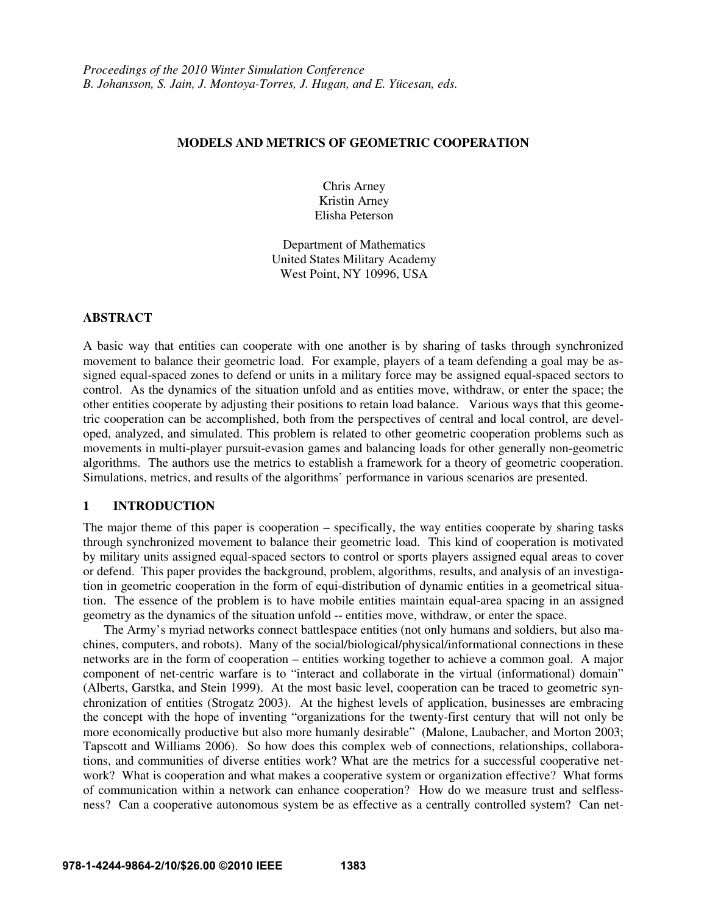#### **MODELS AND METRICS OF GEOMETRIC COOPERATION**

Chris Arney Kristin Arney Elisha Peterson

Department of Mathematics United States Military Academy West Point, NY 10996, USA

### **ABSTRACT**

A basic way that entities can cooperate with one another is by sharing of tasks through synchronized movement to balance their geometric load. For example, players of a team defending a goal may be assigned equal-spaced zones to defend or units in a military force may be assigned equal-spaced sectors to control. As the dynamics of the situation unfold and as entities move, withdraw, or enter the space; the other entities cooperate by adjusting their positions to retain load balance. Various ways that this geometric cooperation can be accomplished, both from the perspectives of central and local control, are developed, analyzed, and simulated. This problem is related to other geometric cooperation problems such as movements in multi-player pursuit-evasion games and balancing loads for other generally non-geometric algorithms. The authors use the metrics to establish a framework for a theory of geometric cooperation. Simulations, metrics, and results of the algorithms' performance in various scenarios are presented.

#### **1 INTRODUCTION**

The major theme of this paper is cooperation – specifically, the way entities cooperate by sharing tasks through synchronized movement to balance their geometric load. This kind of cooperation is motivated by military units assigned equal-spaced sectors to control or sports players assigned equal areas to cover or defend. This paper provides the background, problem, algorithms, results, and analysis of an investigation in geometric cooperation in the form of equi-distribution of dynamic entities in a geometrical situation. The essence of the problem is to have mobile entities maintain equal-area spacing in an assigned geometry as the dynamics of the situation unfold -- entities move, withdraw, or enter the space.

 The Army's myriad networks connect battlespace entities (not only humans and soldiers, but also machines, computers, and robots). Many of the social/biological/physical/informational connections in these networks are in the form of cooperation – entities working together to achieve a common goal. A major component of net-centric warfare is to "interact and collaborate in the virtual (informational) domain" (Alberts, Garstka, and Stein 1999). At the most basic level, cooperation can be traced to geometric synchronization of entities (Strogatz 2003). At the highest levels of application, businesses are embracing the concept with the hope of inventing "organizations for the twenty-first century that will not only be more economically productive but also more humanly desirable" (Malone, Laubacher, and Morton 2003; Tapscott and Williams 2006). So how does this complex web of connections, relationships, collaborations, and communities of diverse entities work? What are the metrics for a successful cooperative network? What is cooperation and what makes a cooperative system or organization effective? What forms of communication within a network can enhance cooperation? How do we measure trust and selflessness? Can a cooperative autonomous system be as effective as a centrally controlled system? Can net-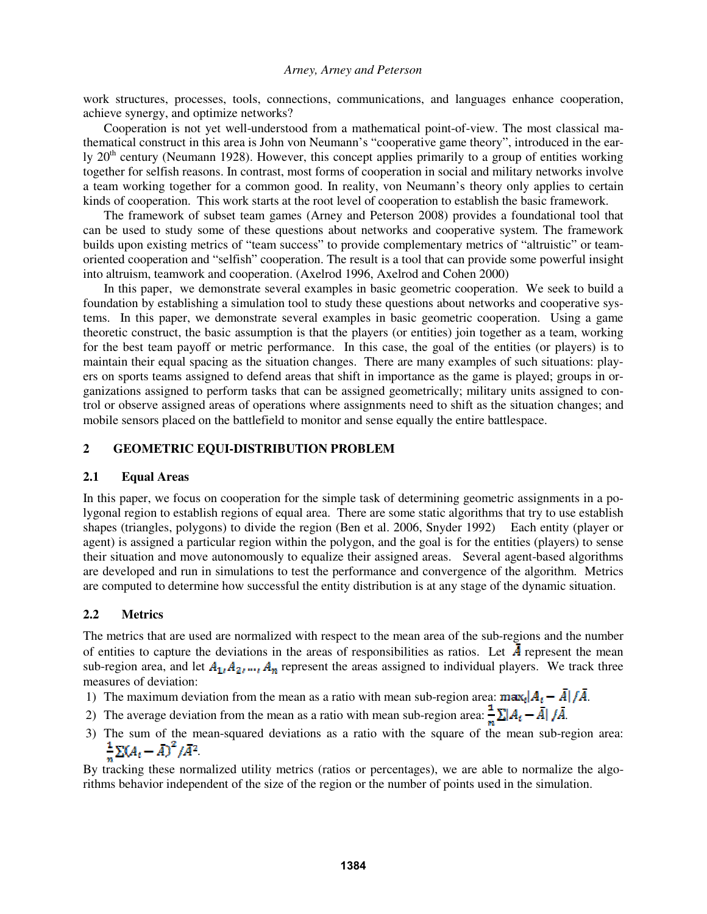work structures, processes, tools, connections, communications, and languages enhance cooperation, achieve synergy, and optimize networks?

 Cooperation is not yet well-understood from a mathematical point-of-view. The most classical mathematical construct in this area is John von Neumann's "cooperative game theory", introduced in the early  $20<sup>th</sup>$  century (Neumann 1928). However, this concept applies primarily to a group of entities working together for selfish reasons. In contrast, most forms of cooperation in social and military networks involve a team working together for a common good. In reality, von Neumann's theory only applies to certain kinds of cooperation. This work starts at the root level of cooperation to establish the basic framework.

 The framework of subset team games (Arney and Peterson 2008) provides a foundational tool that can be used to study some of these questions about networks and cooperative system. The framework builds upon existing metrics of "team success" to provide complementary metrics of "altruistic" or teamoriented cooperation and "selfish" cooperation. The result is a tool that can provide some powerful insight into altruism, teamwork and cooperation. (Axelrod 1996, Axelrod and Cohen 2000)

 In this paper, we demonstrate several examples in basic geometric cooperation. We seek to build a foundation by establishing a simulation tool to study these questions about networks and cooperative systems. In this paper, we demonstrate several examples in basic geometric cooperation. Using a game theoretic construct, the basic assumption is that the players (or entities) join together as a team, working for the best team payoff or metric performance. In this case, the goal of the entities (or players) is to maintain their equal spacing as the situation changes. There are many examples of such situations: players on sports teams assigned to defend areas that shift in importance as the game is played; groups in organizations assigned to perform tasks that can be assigned geometrically; military units assigned to control or observe assigned areas of operations where assignments need to shift as the situation changes; and mobile sensors placed on the battlefield to monitor and sense equally the entire battlespace.

### **2 GEOMETRIC EQUI-DISTRIBUTION PROBLEM**

### **2.1 Equal Areas**

In this paper, we focus on cooperation for the simple task of determining geometric assignments in a polygonal region to establish regions of equal area. There are some static algorithms that try to use establish shapes (triangles, polygons) to divide the region (Ben et al. 2006, Snyder 1992) Each entity (player or agent) is assigned a particular region within the polygon, and the goal is for the entities (players) to sense their situation and move autonomously to equalize their assigned areas. Several agent-based algorithms are developed and run in simulations to test the performance and convergence of the algorithm. Metrics are computed to determine how successful the entity distribution is at any stage of the dynamic situation.

### **2.2 Metrics**

The metrics that are used are normalized with respect to the mean area of the sub-regions and the number of entities to capture the deviations in the areas of responsibilities as ratios. Let  $\bm{A}$  represent the mean sub-region area, and let  $A_1, A_2, ..., A_n$  represent the areas assigned to individual players. We track three measures of deviation:

- 1) The maximum deviation from the mean as a ratio with mean sub-region area:  $\max_i |A_i \overline{A}| / \overline{A}$ .
- 2) The average deviation from the mean as a ratio with mean sub-region area:  $\frac{1}{m} \sum |A_i \overline{A}| / |\overline{A}|$ .
- 3) The sum of the mean-squared deviations as a ratio with the square of the mean sub-region area:  $\frac{1}{n}\sum (A_i - \bar{A})^2/\bar{A}^2$ .

By tracking these normalized utility metrics (ratios or percentages), we are able to normalize the algorithms behavior independent of the size of the region or the number of points used in the simulation.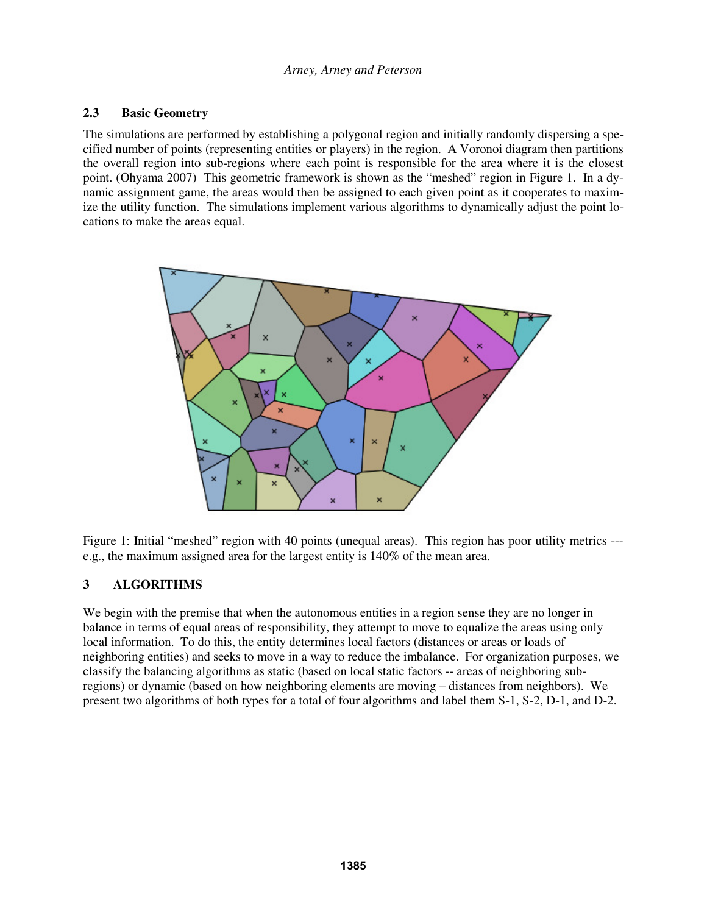### **2.3 Basic Geometry**

The simulations are performed by establishing a polygonal region and initially randomly dispersing a specified number of points (representing entities or players) in the region. A Voronoi diagram then partitions the overall region into sub-regions where each point is responsible for the area where it is the closest point. (Ohyama 2007) This geometric framework is shown as the "meshed" region in Figure 1. In a dynamic assignment game, the areas would then be assigned to each given point as it cooperates to maximize the utility function. The simulations implement various algorithms to dynamically adjust the point locations to make the areas equal.



Figure 1: Initial "meshed" region with 40 points (unequal areas). This region has poor utility metrics --e.g., the maximum assigned area for the largest entity is 140% of the mean area.

# **3 ALGORITHMS**

We begin with the premise that when the autonomous entities in a region sense they are no longer in balance in terms of equal areas of responsibility, they attempt to move to equalize the areas using only local information. To do this, the entity determines local factors (distances or areas or loads of neighboring entities) and seeks to move in a way to reduce the imbalance. For organization purposes, we classify the balancing algorithms as static (based on local static factors -- areas of neighboring subregions) or dynamic (based on how neighboring elements are moving – distances from neighbors). We present two algorithms of both types for a total of four algorithms and label them S-1, S-2, D-1, and D-2.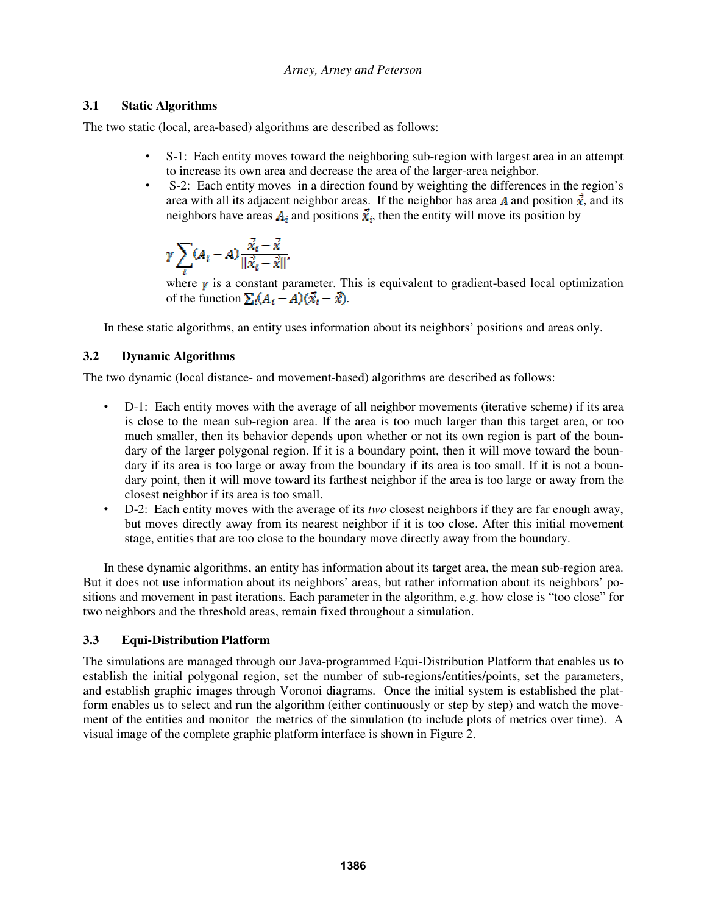# **3.1 Static Algorithms**

The two static (local, area-based) algorithms are described as follows:

- S-1: Each entity moves toward the neighboring sub-region with largest area in an attempt to increase its own area and decrease the area of the larger-area neighbor.
- S-2: Each entity moves in a direction found by weighting the differences in the region's area with all its adjacent neighbor areas. If the neighbor has area A and position  $\vec{x}$ , and its neighbors have areas  $A_i$  and positions  $\vec{x}_i$ , then the entity will move its position by

$$
\gamma \sum_{i} (A_i - A) \frac{\vec{x}_i - \vec{x}}{||\vec{x}_i - \vec{x}||}
$$

where  $\gamma$  is a constant parameter. This is equivalent to gradient-based local optimization of the function  $\sum_i (A_i - A)(\vec{x}_i - \vec{x})$ .

In these static algorithms, an entity uses information about its neighbors' positions and areas only.

# **3.2 Dynamic Algorithms**

The two dynamic (local distance- and movement-based) algorithms are described as follows:

- D-1: Each entity moves with the average of all neighbor movements (iterative scheme) if its area is close to the mean sub-region area. If the area is too much larger than this target area, or too much smaller, then its behavior depends upon whether or not its own region is part of the boundary of the larger polygonal region. If it is a boundary point, then it will move toward the boundary if its area is too large or away from the boundary if its area is too small. If it is not a boundary point, then it will move toward its farthest neighbor if the area is too large or away from the closest neighbor if its area is too small.
- D-2: Each entity moves with the average of its *two* closest neighbors if they are far enough away, but moves directly away from its nearest neighbor if it is too close. After this initial movement stage, entities that are too close to the boundary move directly away from the boundary.

 In these dynamic algorithms, an entity has information about its target area, the mean sub-region area. But it does not use information about its neighbors' areas, but rather information about its neighbors' positions and movement in past iterations. Each parameter in the algorithm, e.g. how close is "too close" for two neighbors and the threshold areas, remain fixed throughout a simulation.

### **3.3 Equi-Distribution Platform**

The simulations are managed through our Java-programmed Equi-Distribution Platform that enables us to establish the initial polygonal region, set the number of sub-regions/entities/points, set the parameters, and establish graphic images through Voronoi diagrams. Once the initial system is established the platform enables us to select and run the algorithm (either continuously or step by step) and watch the movement of the entities and monitor the metrics of the simulation (to include plots of metrics over time). A visual image of the complete graphic platform interface is shown in Figure 2.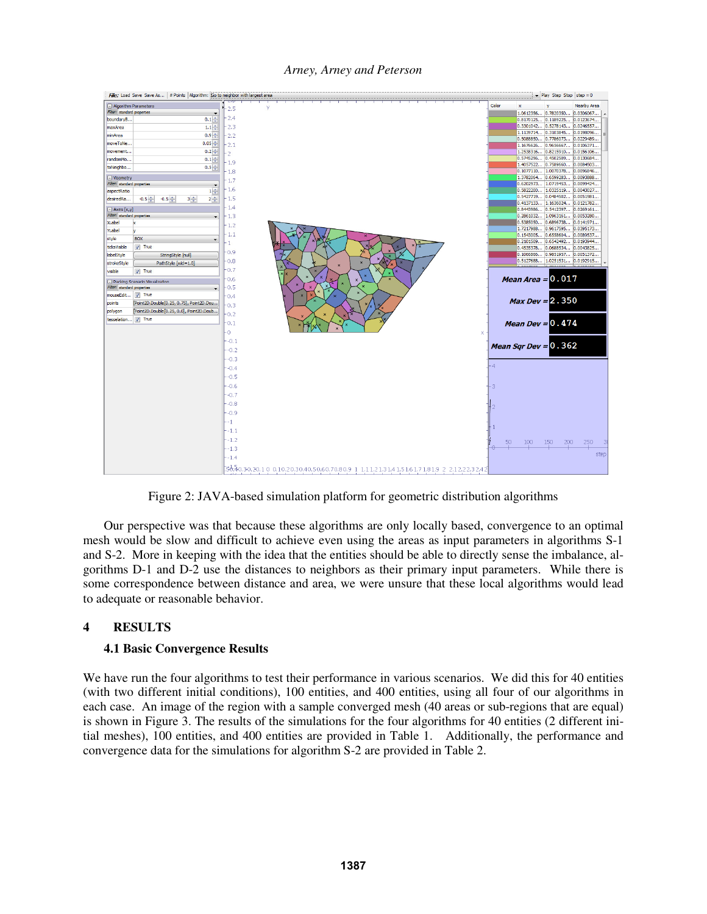

Figure 2: JAVA-based simulation platform for geometric distribution algorithms

 Our perspective was that because these algorithms are only locally based, convergence to an optimal mesh would be slow and difficult to achieve even using the areas as input parameters in algorithms S-1 and S-2. More in keeping with the idea that the entities should be able to directly sense the imbalance, algorithms D-1 and D-2 use the distances to neighbors as their primary input parameters. While there is some correspondence between distance and area, we were unsure that these local algorithms would lead to adequate or reasonable behavior.

### **4 RESULTS**

### **4.1 Basic Convergence Results**

We have run the four algorithms to test their performance in various scenarios. We did this for 40 entities (with two different initial conditions), 100 entities, and 400 entities, using all four of our algorithms in each case. An image of the region with a sample converged mesh (40 areas or sub-regions that are equal) is shown in Figure 3. The results of the simulations for the four algorithms for 40 entities (2 different initial meshes), 100 entities, and 400 entities are provided in Table 1. Additionally, the performance and convergence data for the simulations for algorithm S-2 are provided in Table 2.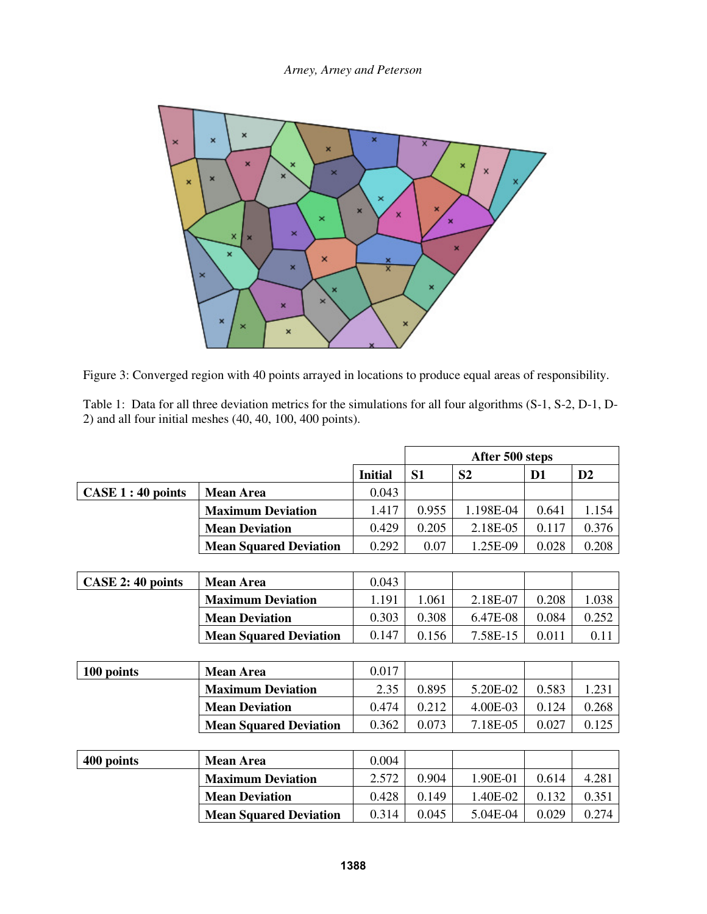

Figure 3: Converged region with 40 points arrayed in locations to produce equal areas of responsibility.

Table 1: Data for all three deviation metrics for the simulations for all four algorithms (S-1, S-2, D-1, D-2) and all four initial meshes (40, 40, 100, 400 points).

|                   |                               |                | After 500 steps |                |       |       |  |
|-------------------|-------------------------------|----------------|-----------------|----------------|-------|-------|--|
|                   |                               | <b>Initial</b> | S <sub>1</sub>  | S <sub>2</sub> | D1    | D2    |  |
| CASE 1:40 points  | <b>Mean Area</b>              | 0.043          |                 |                |       |       |  |
|                   | <b>Maximum Deviation</b>      | 1.417          | 0.955           | 1.198E-04      | 0.641 | 1.154 |  |
|                   | <b>Mean Deviation</b>         | 0.429          | 0.205           | 2.18E-05       | 0.117 | 0.376 |  |
|                   | <b>Mean Squared Deviation</b> | 0.292          | 0.07            | 1.25E-09       | 0.028 | 0.208 |  |
|                   |                               |                |                 |                |       |       |  |
| CASE 2: 40 points | Mean Area                     | 0.043          |                 |                |       |       |  |
|                   | <b>Maximum Deviation</b>      | 1.191          | 1.061           | 2.18E-07       | 0.208 | 1.038 |  |
|                   | <b>Mean Deviation</b>         | 0.303          | 0.308           | 6.47E-08       | 0.084 | 0.252 |  |
|                   | <b>Mean Squared Deviation</b> | 0.147          | 0.156           | 7.58E-15       | 0.011 | 0.11  |  |
|                   |                               |                |                 |                |       |       |  |
| 100 points        | <b>Mean Area</b>              | 0.017          |                 |                |       |       |  |
|                   | <b>Maximum Deviation</b>      | 2.35           | 0.895           | 5.20E-02       | 0.583 | 1.231 |  |
|                   | <b>Mean Deviation</b>         | 0.474          | 0.212           | 4.00E-03       | 0.124 | 0.268 |  |
|                   | <b>Mean Squared Deviation</b> | 0.362          | 0.073           | 7.18E-05       | 0.027 | 0.125 |  |
|                   |                               |                |                 |                |       |       |  |
| 400 points        | <b>Mean Area</b>              | 0.004          |                 |                |       |       |  |
|                   | <b>Maximum Deviation</b>      | 2.572          | 0.904           | 1.90E-01       | 0.614 | 4.281 |  |
|                   | <b>Mean Deviation</b>         | 0.428          | 0.149           | 1.40E-02       | 0.132 | 0.351 |  |
|                   | <b>Mean Squared Deviation</b> | 0.314          | 0.045           | 5.04E-04       | 0.029 | 0.274 |  |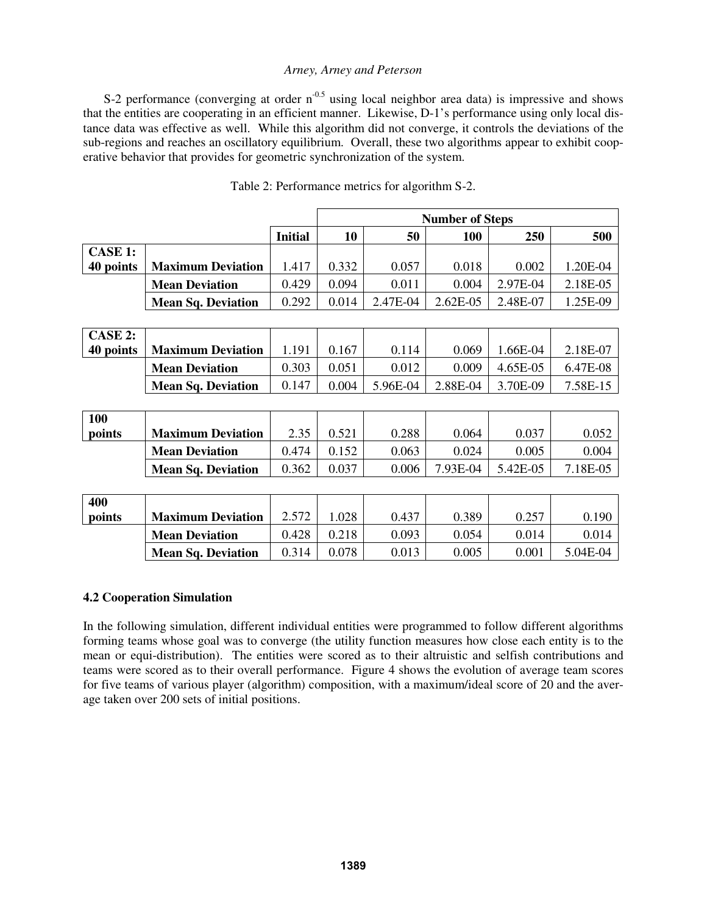S-2 performance (converging at order  $n^{-0.5}$  using local neighbor area data) is impressive and shows that the entities are cooperating in an efficient manner. Likewise, D-1's performance using only local distance data was effective as well. While this algorithm did not converge, it controls the deviations of the sub-regions and reaches an oscillatory equilibrium. Overall, these two algorithms appear to exhibit cooperative behavior that provides for geometric synchronization of the system.

|                |                           |                | <b>Number of Steps</b> |          |            |          |          |  |
|----------------|---------------------------|----------------|------------------------|----------|------------|----------|----------|--|
|                |                           | <b>Initial</b> | 10                     | 50       | <b>100</b> | 250      | 500      |  |
| <b>CASE 1:</b> |                           |                |                        |          |            |          |          |  |
| 40 points      | <b>Maximum Deviation</b>  | 1.417          | 0.332                  | 0.057    | 0.018      | 0.002    | 1.20E-04 |  |
|                | <b>Mean Deviation</b>     | 0.429          | 0.094                  | 0.011    | 0.004      | 2.97E-04 | 2.18E-05 |  |
|                | <b>Mean Sq. Deviation</b> | 0.292          | 0.014                  | 2.47E-04 | 2.62E-05   | 2.48E-07 | 1.25E-09 |  |
|                |                           |                |                        |          |            |          |          |  |
| CASE 2:        |                           |                |                        |          |            |          |          |  |
| 40 points      | <b>Maximum Deviation</b>  | 1.191          | 0.167                  | 0.114    | 0.069      | 1.66E-04 | 2.18E-07 |  |
|                | <b>Mean Deviation</b>     | 0.303          | 0.051                  | 0.012    | 0.009      | 4.65E-05 | 6.47E-08 |  |
|                | <b>Mean Sq. Deviation</b> | 0.147          | 0.004                  | 5.96E-04 | 2.88E-04   | 3.70E-09 | 7.58E-15 |  |
|                |                           |                |                        |          |            |          |          |  |
| 100            |                           |                |                        |          |            |          |          |  |
| points         | <b>Maximum Deviation</b>  | 2.35           | 0.521                  | 0.288    | 0.064      | 0.037    | 0.052    |  |
|                | <b>Mean Deviation</b>     | 0.474          | 0.152                  | 0.063    | 0.024      | 0.005    | 0.004    |  |
|                | <b>Mean Sq. Deviation</b> | 0.362          | 0.037                  | 0.006    | 7.93E-04   | 5.42E-05 | 7.18E-05 |  |
|                |                           |                |                        |          |            |          |          |  |
| 400            |                           |                |                        |          |            |          |          |  |
| points         | <b>Maximum Deviation</b>  | 2.572          | 1.028                  | 0.437    | 0.389      | 0.257    | 0.190    |  |
|                | <b>Mean Deviation</b>     | 0.428          | 0.218                  | 0.093    | 0.054      | 0.014    | 0.014    |  |

Table 2: Performance metrics for algorithm S-2.

### **4.2 Cooperation Simulation**

In the following simulation, different individual entities were programmed to follow different algorithms forming teams whose goal was to converge (the utility function measures how close each entity is to the mean or equi-distribution). The entities were scored as to their altruistic and selfish contributions and teams were scored as to their overall performance. Figure 4 shows the evolution of average team scores for five teams of various player (algorithm) composition, with a maximum/ideal score of 20 and the average taken over 200 sets of initial positions.

**Mean Sq. Deviation** 0.314 0.078 0.013 0.005 0.001 5.04E-04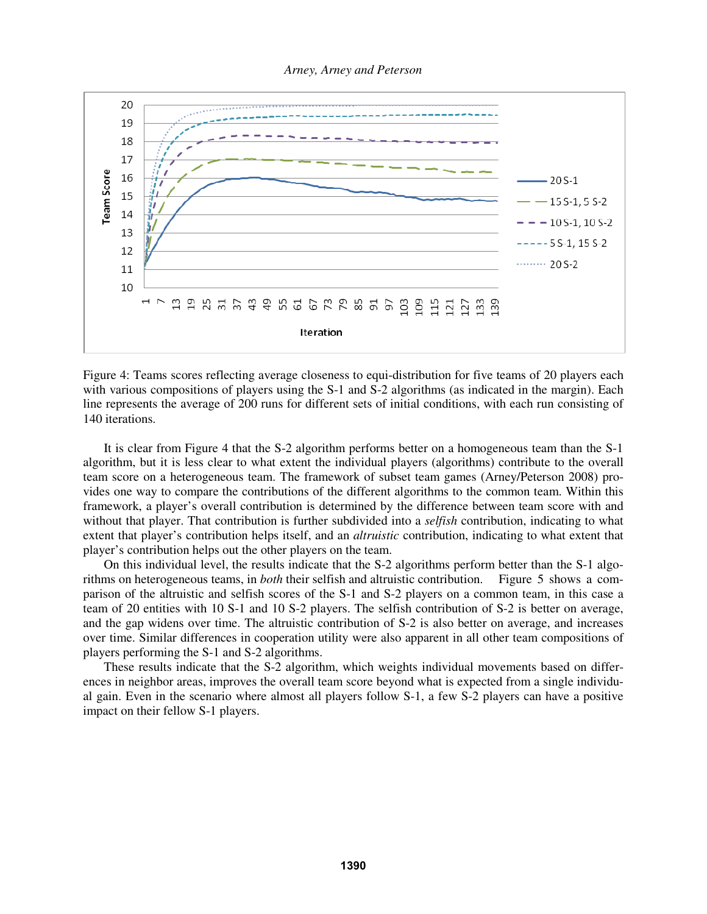

Figure 4: Teams scores reflecting average closeness to equi-distribution for five teams of 20 players each with various compositions of players using the S-1 and S-2 algorithms (as indicated in the margin). Each line represents the average of 200 runs for different sets of initial conditions, with each run consisting of 140 iterations.

 It is clear from Figure 4 that the S-2 algorithm performs better on a homogeneous team than the S-1 algorithm, but it is less clear to what extent the individual players (algorithms) contribute to the overall team score on a heterogeneous team. The framework of subset team games (Arney/Peterson 2008) provides one way to compare the contributions of the different algorithms to the common team. Within this framework, a player's overall contribution is determined by the difference between team score with and without that player. That contribution is further subdivided into a *selfish* contribution, indicating to what extent that player's contribution helps itself, and an *altruistic* contribution, indicating to what extent that player's contribution helps out the other players on the team.

 On this individual level, the results indicate that the S-2 algorithms perform better than the S-1 algorithms on heterogeneous teams, in *both* their selfish and altruistic contribution. Figure 5 shows a comparison of the altruistic and selfish scores of the S-1 and S-2 players on a common team, in this case a team of 20 entities with 10 S-1 and 10 S-2 players. The selfish contribution of S-2 is better on average, and the gap widens over time. The altruistic contribution of S-2 is also better on average, and increases over time. Similar differences in cooperation utility were also apparent in all other team compositions of players performing the S-1 and S-2 algorithms.

 These results indicate that the S-2 algorithm, which weights individual movements based on differences in neighbor areas, improves the overall team score beyond what is expected from a single individual gain. Even in the scenario where almost all players follow S-1, a few S-2 players can have a positive impact on their fellow S-1 players.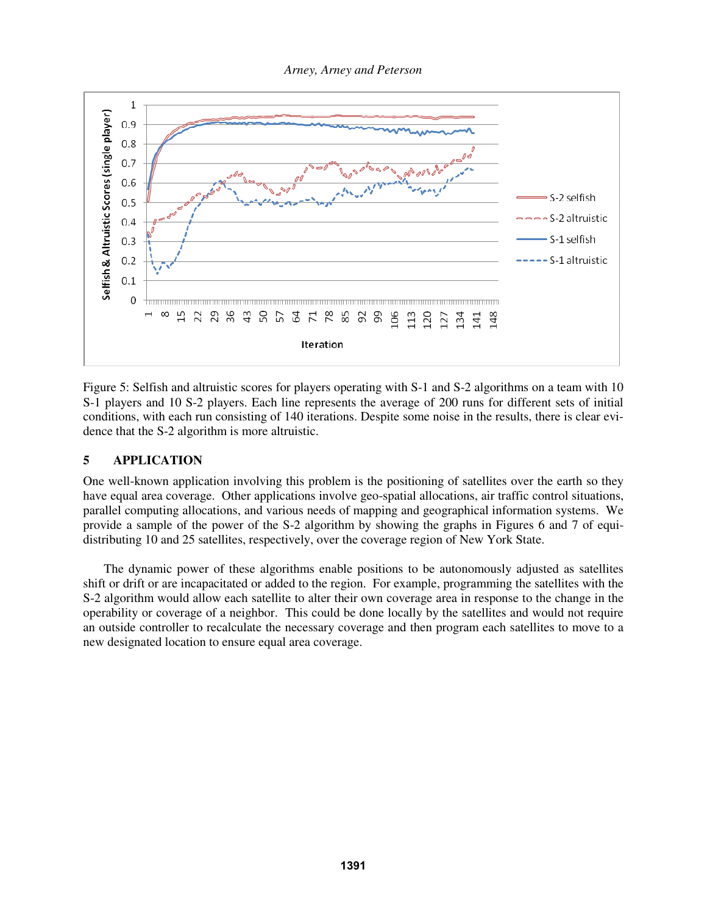

Figure 5: Selfish and altruistic scores for players operating with S-1 and S-2 algorithms on a team with 10 S-1 players and 10 S-2 players. Each line represents the average of 200 runs for different sets of initial conditions, with each run consisting of 140 iterations. Despite some noise in the results, there is clear evidence that the S-2 algorithm is more altruistic.

### **5 APPLICATION**

One well-known application involving this problem is the positioning of satellites over the earth so they have equal area coverage. Other applications involve geo-spatial allocations, air traffic control situations, parallel computing allocations, and various needs of mapping and geographical information systems. We provide a sample of the power of the S-2 algorithm by showing the graphs in Figures 6 and 7 of equidistributing 10 and 25 satellites, respectively, over the coverage region of New York State.

 The dynamic power of these algorithms enable positions to be autonomously adjusted as satellites shift or drift or are incapacitated or added to the region. For example, programming the satellites with the S-2 algorithm would allow each satellite to alter their own coverage area in response to the change in the operability or coverage of a neighbor. This could be done locally by the satellites and would not require an outside controller to recalculate the necessary coverage and then program each satellites to move to a new designated location to ensure equal area coverage.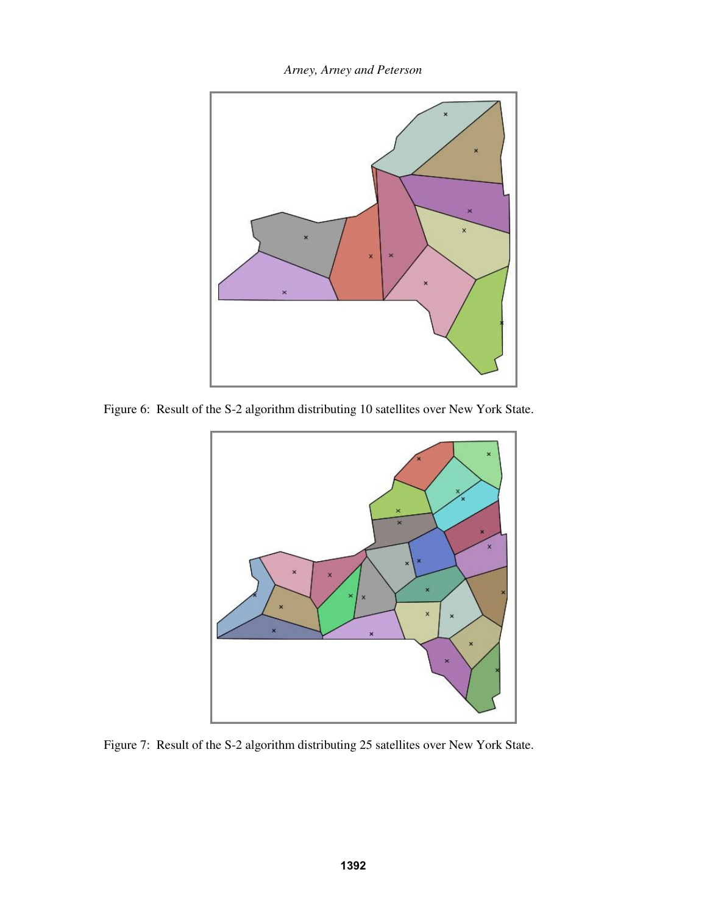*Arney, Arney and Peterson* 



Figure 6: Result of the S-2 algorithm distributing 10 satellites over New York State.



Figure 7: Result of the S-2 algorithm distributing 25 satellites over New York State.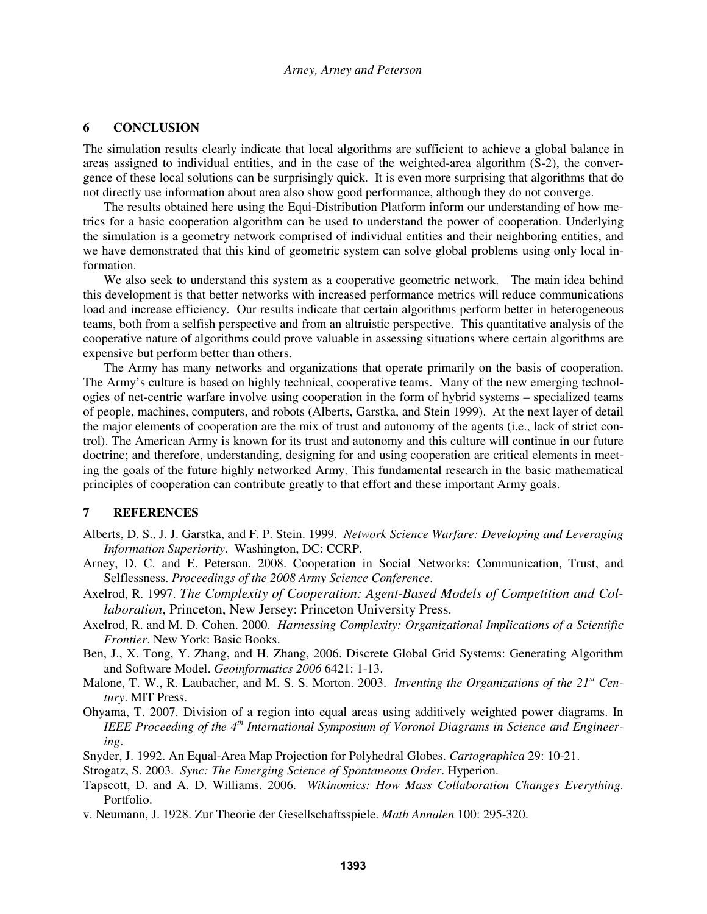#### **6 CONCLUSION**

The simulation results clearly indicate that local algorithms are sufficient to achieve a global balance in areas assigned to individual entities, and in the case of the weighted-area algorithm (S-2), the convergence of these local solutions can be surprisingly quick. It is even more surprising that algorithms that do not directly use information about area also show good performance, although they do not converge.

 The results obtained here using the Equi-Distribution Platform inform our understanding of how metrics for a basic cooperation algorithm can be used to understand the power of cooperation. Underlying the simulation is a geometry network comprised of individual entities and their neighboring entities, and we have demonstrated that this kind of geometric system can solve global problems using only local information.

We also seek to understand this system as a cooperative geometric network. The main idea behind this development is that better networks with increased performance metrics will reduce communications load and increase efficiency. Our results indicate that certain algorithms perform better in heterogeneous teams, both from a selfish perspective and from an altruistic perspective. This quantitative analysis of the cooperative nature of algorithms could prove valuable in assessing situations where certain algorithms are expensive but perform better than others.

 The Army has many networks and organizations that operate primarily on the basis of cooperation. The Army's culture is based on highly technical, cooperative teams. Many of the new emerging technologies of net-centric warfare involve using cooperation in the form of hybrid systems – specialized teams of people, machines, computers, and robots (Alberts, Garstka, and Stein 1999). At the next layer of detail the major elements of cooperation are the mix of trust and autonomy of the agents (i.e., lack of strict control). The American Army is known for its trust and autonomy and this culture will continue in our future doctrine; and therefore, understanding, designing for and using cooperation are critical elements in meeting the goals of the future highly networked Army. This fundamental research in the basic mathematical principles of cooperation can contribute greatly to that effort and these important Army goals.

#### **7 REFERENCES**

- Alberts, D. S., J. J. Garstka, and F. P. Stein. 1999. *Network Science Warfare: Developing and Leveraging Information Superiority*. Washington, DC: CCRP.
- Arney, D. C. and E. Peterson. 2008. Cooperation in Social Networks: Communication, Trust, and Selflessness. *Proceedings of the 2008 Army Science Conference*.
- Axelrod, R. 1997. *The Complexity of Cooperation: Agent-Based Models of Competition and Collaboration*, Princeton, New Jersey: Princeton University Press.
- Axelrod, R. and M. D. Cohen. 2000. *Harnessing Complexity: Organizational Implications of a Scientific Frontier*. New York: Basic Books.
- Ben, J., X. Tong, Y. Zhang, and H. Zhang, 2006. Discrete Global Grid Systems: Generating Algorithm and Software Model. *Geoinformatics 2006* 6421: 1-13.
- Malone, T. W., R. Laubacher, and M. S. S. Morton. 2003. *Inventing the Organizations of the 21st Century*. MIT Press.
- Ohyama, T. 2007. Division of a region into equal areas using additively weighted power diagrams. In IEEE Proceeding of the 4<sup>th</sup> International Symposium of Voronoi Diagrams in Science and Engineer*ing*.
- Snyder, J. 1992. An Equal-Area Map Projection for Polyhedral Globes. *Cartographica* 29: 10-21.
- Strogatz, S. 2003. *Sync: The Emerging Science of Spontaneous Order*. Hyperion.
- Tapscott, D. and A. D. Williams. 2006. *Wikinomics: How Mass Collaboration Changes Everything*. Portfolio.
- v. Neumann, J. 1928. Zur Theorie der Gesellschaftsspiele. *Math Annalen* 100: 295-320.